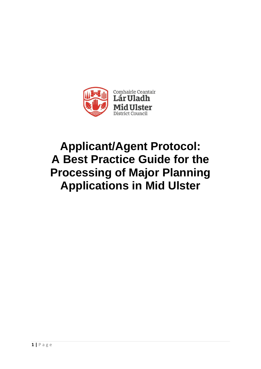

# **Applicant/Agent Protocol: A Best Practice Guide for the Processing of Major Planning Applications in Mid Ulster**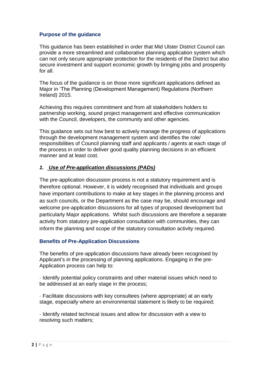### **Purpose of the guidance**

 This guidance has been established in order that Mid Ulster District Council can provide a more streamlined and collaborative planning application system which can not only secure appropriate protection for the residents of the District but also secure investment and support economic growth by bringing jobs and prosperity for all.

 The focus of the guidance is on those more significant applications defined as Ireland) 2015. Major in 'The Planning (Development Management) Regulations (Northern

Ireland) 2015.<br>Achieving this requires commitment and from all stakeholders holders to partnership working, sound project management and effective communication with the Council, developers, the community and other agencies.

 This guidance sets out how best to actively manage the progress of applications responsibilities of Council planning staff and applicants / agents at each stage of the process in order to deliver good quality planning decisions in an efficient through the development management system and identifies the role/ manner and at least cost.

#### *1. Use of Pre-application discussions (PADs)*

 have important contributions to make at key stages in the planning process and particularly Major applications. Whilst such discussions are therefore a separate activity from statutory pre-application consultation with communities, they can inform the planning and scope of the statutory consultation activity required. The pre-application discussion process is not a statutory requirement and is therefore optional. However, it is widely recognised that individuals and groups as such councils, or the Department as the case may be, should encourage and welcome pre-application discussions for all types of proposed development but

#### **Benefits of Pre-Application Discussions**

The benefits of pre-application discussions have already been recognised by Applicant's in the processing of planning applications. Engaging in the pre-Application process can help to:

 be addressed at an early stage in the process; · Identify potential policy constraints and other material issues which need to

 · Facilitate discussions with key consultees (where appropriate) at an early stage, especially where an environmental statement is likely to be required;

· Identify related technical issues and allow for discussion with a view to resolving such matters;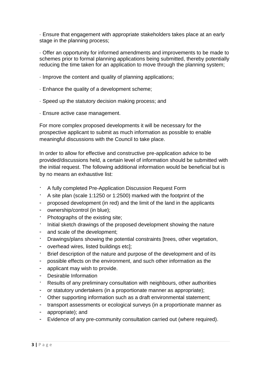· Ensure that engagement with appropriate stakeholders takes place at an early stage in the planning process;

 · Offer an opportunity for informed amendments and improvements to be made to reducing the time taken for an application to move through the planning system; schemes prior to formal planning applications being submitted, thereby potentially

- · Improve the content and quality of planning applications;
- · Enhance the quality of a development scheme;
- · Speed up the statutory decision making process; and
- · Ensure active case management.

For more complex proposed developments it will be necessary for the prospective applicant to submit as much information as possible to enable meaningful discussions with the Council to take place.

 provided/discussions held, a certain level of information should be submitted with the initial request. The following additional information would be beneficial but is In order to allow for effective and constructive pre-application advice to be by no means an exhaustive list:

- A fully completed Pre-Application Discussion Request Form
- · A site plan (scale 1:1250 or 1:2500) marked with the footprint of the
- proposed development (in red) and the limit of the land in the applicants
- ownership/control (in blue);
- · Photographs of the existing site;
- · Initial sketch drawings of the proposed development showing the nature
- and scale of the development;
- · Drawings/plans showing the potential constraints [trees, other vegetation,
- overhead wires, listed buildings etc];
- · Brief description of the nature and purpose of the development and of its
- $\mathbf{L}^{\left(1\right)}$ possible effects on the environment, and such other information as the
- applicant may wish to provide.
- Desirable Information
- · Results of any preliminary consultation with neighbours, other authorities
- or statutory undertakers (in a proportionate manner as appropriate);
- · Other supporting information such as a draft environmental statement;
- transport assessments or ecological surveys (in a proportionate manner as
- appropriate); and
- Evidence of any pre-community consultation carried out (where required).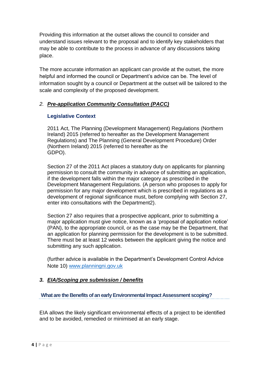Providing this information at the outset allows the council to consider and understand issues relevant to the proposal and to identify key stakeholders that may be able to contribute to the process in advance of any discussions taking place.

 The more accurate information an applicant can provide at the outset, the more helpful and informed the council or Department's advice can be. The level of information sought by a council or Department at the outset will be tailored to the scale and complexity of the proposed development.

# *2. Pre-application Community Consultation (PACC)*

# **Legislative Context**

 Ireland) 2015 (referred to hereafter as the Development Management Regulations) and The Planning (General Development Procedure) Order (Northern Ireland) 2015 (referred to hereafter as the 2011 Act, The Planning (Development Management) Regulations (Northern GDPO).

 if the development falls within the major category as prescribed in the Development Management Regulations. (A person who proposes to apply for development of regional significance must, before complying with Section 27, Section 27 of the 2011 Act places a statutory duty on applicants for planning permission to consult the community in advance of submitting an application, permission for any major development which is prescribed in regulations as a enter into consultations with the Department2).

 (PAN), to the appropriate council, or as the case may be the Department, that an application for planning permission for the development is to be submitted. There must be at least 12 weeks between the applicant giving the notice and Section 27 also requires that a prospective applicant, prior to submitting a major application must give notice, known as a 'proposal of application notice' submitting any such application.

Note 10) www.planningni.gov.uk (further advice is available in the Department's Development Control Advice

# *3. EIA/Scoping pre submission / benefits*

What are the Benefits of an early Environmental Impact Assessment scoping?

 EIA allows the likely significant environmental effects of a project to be identified and to be avoided, remedied or minimised at an early stage.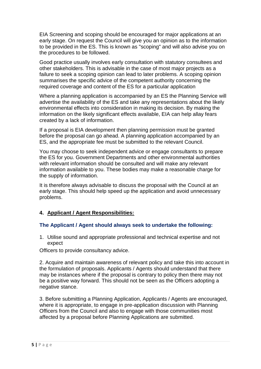early stage. On request the Council will give you an opinion as to the information the procedures to be followed. EIA Screening and scoping should be encouraged for major applications at an to be provided in the ES. This is known as "scoping" and will also advise you on

 failure to seek a scoping opinion can lead to later problems. A scoping opinion required coverage and content of the ES for a particular application Good practice usually involves early consultation with statutory consultees and other stakeholders. This is advisable in the case of most major projects as a summarises the specific advice of the competent authority concerning the

 Where a planning application is accompanied by an ES the Planning Service will advertise the availability of the ES and take any representations about the likely information on the likely significant effects available, EIA can help allay fears environmental effects into consideration in making its decision. By making the created by a lack of information.

 before the proposal can go ahead. A planning application accompanied by an If a proposal is EIA development then planning permission must be granted ES, and the appropriate fee must be submitted to the relevant Council.

 You may choose to seek independent advice or engage consultants to prepare the ES for you. Government Departments and other environmental authorities with relevant information should be consulted and will make any relevant information available to you. These bodies may make a reasonable charge for the supply of information.

 It is therefore always advisable to discuss the proposal with the Council at an early stage. This should help speed up the application and avoid unnecessary problems.

# 4. Applicant / Agent Responsibilities:

# **4. Applicant / Agent Responsibilities: The Applicant / Agent should always seek to undertake the following:**

1. Utilise sound and appropriate professional and technical expertise and not expect

Officers to provide consultancy advice.

Officers to provide consultancy advice.<br>2. Acquire and maintain awareness of relevant policy and take this into account in the formulation of proposals. Applicants / Agents should understand that there may be instances where if the proposal is contrary to policy then there may not be a positive way forward. This should not be seen as the Officers adopting a negative stance.

 Officers from the Council and also to engage with those communities most 3. Before submitting a Planning Application, Applicants / Agents are encouraged, where it is appropriate, to engage in pre-application discussion with Planning affected by a proposal before Planning Applications are submitted.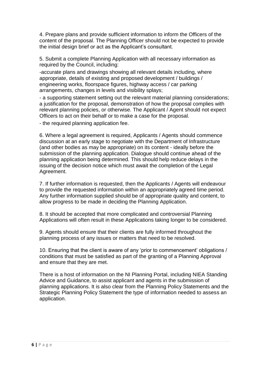content of the proposal. The Planning Officer should not be expected to provide 4. Prepare plans and provide sufficient information to inform the Officers of the the initial design brief or act as the Applicant's consultant.

 required by the Council, including: 5. Submit a complete Planning Application with all necessary information as

-accurate plans and drawings showing all relevant details including, where appropriate, details of existing and proposed development / buildings / engineering works, floorspace figures, highway access / car parking arrangements, changes in levels and visibility splays;

 Officers to act on their behalf or to make a case for the proposal. - a supporting statement setting out the relevant material planning considerations; a justification for the proposal, demonstration of how the proposal complies with relevant planning policies, or otherwise. The Applicant / Agent should not expect

- the required planning application fee.

 (and other bodies as may be appropriate) on its content - ideally before the Agreement. 6. Where a legal agreement is required, Applicants / Agents should commence discussion at an early stage to negotiate with the Department of Infrastructure submission of the planning application. Dialogue should continue ahead of the planning application being determined. This should help reduce delays in the issuing of the decision notice which must await the completion of the Legal

Agreement.<br>7. If further information is requested, then the Applicants / Agents will endeavour Any further information supplied should be of appropriate quality and content, to allow progress to be made in deciding the Planning Application. to provide the requested information within an appropriately agreed time period.

8. It should be accepted that more complicated and controversial Planning Applications will often result in these Applications taking longer to be considered.

9. Agents should ensure that their clients are fully informed throughout the planning process of any issues or matters that need to be resolved.

and ensure that they are met. 10. Ensuring that the client is aware of any 'prior to commencement' obligations / conditions that must be satisfied as part of the granting of a Planning Approval

There is a host of information on the NI Planning Portal, including NIEA Standing Advice and Guidance, to assist applicant and agents in the submission of planning applications. It is also clear from the Planning Policy Statements and the Strategic Planning Policy Statement the type of information needed to assess an application.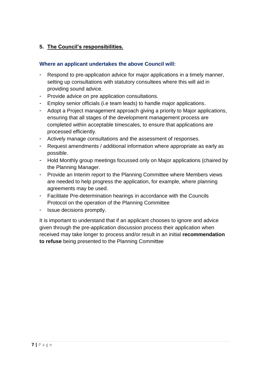# **5. The Council's responsibilities.**

### **Where an applicant undertakes the above Council will:**

- - Respond to pre-application advice for major applications in a timely manner, setting up consultations with statutory consultees where this will aid in providing sound advice.
- Provide advice on pre application consultations.
- Employ senior officials (i.e team leads) to handle major applications.
- $\omega_{\rm{max}}$ - Adopt a Project management approach giving a priority to Major applications, ensuring that all stages of the development management process are completed within acceptable timescales, to ensure that applications are processed efficiently.
- Actively manage consultations and the assessment of responses.
- Request amendments / additional information where appropriate as early as possible.
- - Hold Monthly group meetings focussed only on Major applications (chaired by the Planning Manager.
- - Provide an Interim report to the Planning Committee where Members views agreements may be used. are needed to help progress the application, for example, where planning
- $\omega_{\rm{max}}$ - Facilitate Pre-determination hearings in accordance with the Councils Protocol on the operation of the Planning Committee
- $\sim$   $^{-1}$ Issue decisions promptly.

 It is important to understand that if an applicant chooses to ignore and advice given through the pre-application discussion process their application when received may take longer to process and/or result in an initial **recommendation to refuse** being presented to the Planning Committee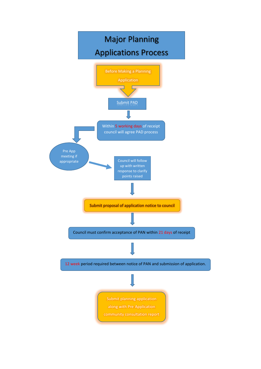